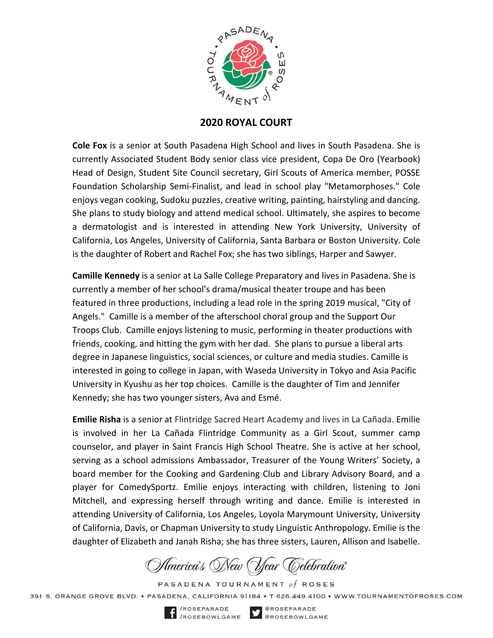

## **2020 ROYAL COURT**

**Cole Fox** is a senior at South Pasadena High School and lives in South Pasadena. She is currently Associated Student Body senior class vice president, Copa De Oro (Yearbook) Head of Design, Student Site Council secretary, Girl Scouts of America member, POSSE Foundation Scholarship Semi-Finalist, and lead in school play "Metamorphoses." Cole enjoys vegan cooking, Sudoku puzzles, creative writing, painting, hairstyling and dancing. She plans to study biology and attend medical school. Ultimately, she aspires to become a dermatologist and is interested in attending New York University, University of California, Los Angeles, University of California, Santa Barbara or Boston University. Cole is the daughter of Robert and Rachel Fox; she has two siblings, Harper and Sawyer.

**Camille Kennedy** is a senior at La Salle College Preparatory and lives in Pasadena. She is currently a member of her school's drama/musical theater troupe and has been featured in three productions, including a lead role in the spring 2019 musical, "City of Angels." Camille is a member of the afterschool choral group and the Support Our Troops Club. Camille enjoys listening to music, performing in theater productions with friends, cooking, and hitting the gym with her dad. She plans to pursue a liberal arts degree in Japanese linguistics, social sciences, or culture and media studies. Camille is interested in going to college in Japan, with Waseda University in Tokyo and Asia Pacific University in Kyushu as her top choices. Camille is the daughter of Tim and Jennifer Kennedy; she has two younger sisters, Ava and Esmé.

**Emilie Risha** is a senior at Flintridge Sacred Heart Academy and lives in La Cañada. Emilie is involved in her La Cañada Flintridge Community as a Girl Scout, summer camp counselor, and player in Saint Francis High School Theatre. She is active at her school, serving as a school admissions Ambassador, Treasurer of the Young Writers' Society, a board member for the Cooking and Gardening Club and Library Advisory Board, and a player for ComedySportz. Emilie enjoys interacting with children, listening to Joni Mitchell, and expressing herself through writing and dance. Emilie is interested in attending University of California, Los Angeles, Loyola Marymount University, University of California, Davis, or Chapman University to study Linguistic Anthropology. Emilie is the daughter of Elizabeth and Janah Risha; she has three sisters, Lauren, Allison and Isabelle.

America's New (Year Celebration®

PASADENA TOURNAMENT of ROSES

391 S. ORANGE GROVE BLVD. • PASADENA. CALIFORNIA 91184 • T 626.449.4100 • WWW.TOURNAMENTOFROSES.COM